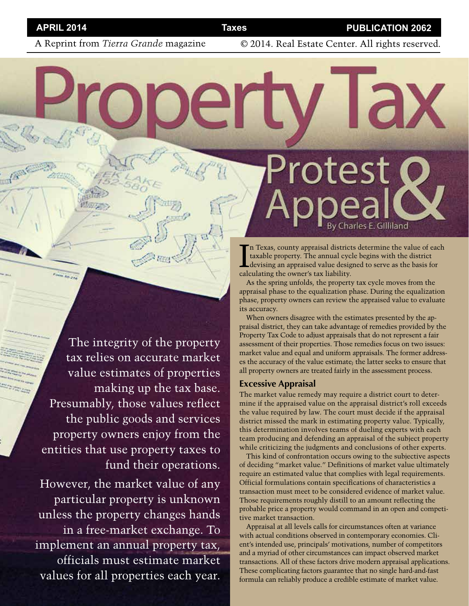A Reprint from *Tierra Grande* magazine © 2014. Real Estate Center. All rights reserved.

The integrity of the property tax relies on accurate market value estimates of properties making up the tax base. Presumably, those values reflect the public goods and services property owners enjoy from the entities that use property taxes to fund their operations.

However, the market value of any particular property is unknown unless the property changes hands in a free-market exchange. To implement an annual property tax, officials must estimate market values for all properties each year.

In Texas, county appraisal districts determine the value of each taxable property. The annual cycle begins with the district<br>devising an appraised value designed to serve as the basis for<br>calculating the our professor link n Texas, county appraisal districts determine the value of each taxable property. The annual cycle begins with the district calculating the owner's tax liability.

Protest

As the spring unfolds, the property tax cycle moves from the appraisal phase to the equalization phase. During the equalization phase, property owners can review the appraised value to evaluate its accuracy.

When owners disagree with the estimates presented by the appraisal district, they can take advantage of remedies provided by the Property Tax Code to adjust appraisals that do not represent a fair assessment of their properties. Those remedies focus on two issues: market value and equal and uniform appraisals. The former addresses the accuracy of the value estimate; the latter seeks to ensure that all property owners are treated fairly in the assessment process.

## **Excessive Appraisal**

The market value remedy may require a district court to determine if the appraised value on the appraisal district's roll exceeds the value required by law. The court must decide if the appraisal district missed the mark in estimating property value. Typically, this determination involves teams of dueling experts with each team producing and defending an appraisal of the subject property while criticizing the judgments and conclusions of other experts.

This kind of confrontation occurs owing to the subjective aspects of deciding "market value." Definitions of market value ultimately require an estimated value that complies with legal requirements. Official formulations contain specifications of characteristics a transaction must meet to be considered evidence of market value. Those requirements roughly distill to an amount reflecting the probable price a property would command in an open and competitive market transaction.

Appraisal at all levels calls for circumstances often at variance with actual conditions observed in contemporary economies. Client's intended use, principals' motivations, number of competitors and a myriad of other circumstances can impact observed market transactions. All of these factors drive modern appraisal applications. These complicating factors guarantee that no single hard-and-fast formula can reliably produce a credible estimate of market value.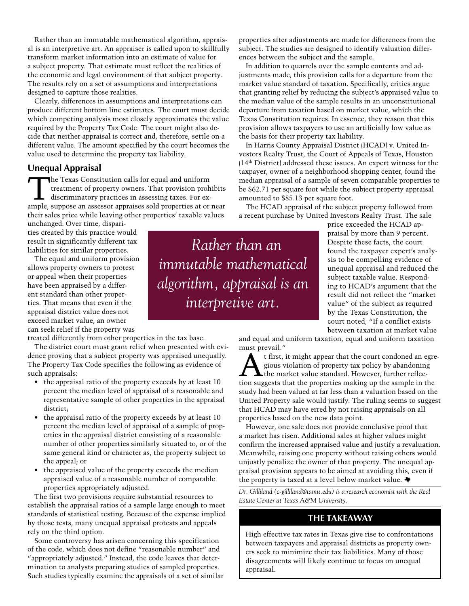Rather than an immutable mathematical algorithm, appraisal is an interpretive art. An appraiser is called upon to skillfully transform market information into an estimate of value for a subject property. That estimate must reflect the realities of the economic and legal environment of that subject property. The results rely on a set of assumptions and interpretations designed to capture those realities.

Clearly, differences in assumptions and interpretations can produce different bottom line estimates. The court must decide which competing analysis most closely approximates the value required by the Property Tax Code. The court might also decide that neither appraisal is correct and, therefore, settle on a different value. The amount specified by the court becomes the value used to determine the property tax liability.

# **Unequal Appraisal**

The Texas Constitution calls for equal and uniform<br>treatment of property owners. That provision proh<br>discriminatory practices in assessing taxes. For ex-<br>ample, currence an assessory appraises cold properties at or. treatment of property owners. That provision prohibits ample, suppose an assessor appraises sold properties at or near their sales price while leaving other properties' taxable values

unchanged. Over time, disparities created by this practice would result in significantly different tax liabilities for similar properties.

The equal and uniform provision allows property owners to protest or appeal when their properties have been appraised by a different standard than other properties. That means that even if the appraisal district value does not exceed market value, an owner can seek relief if the property was

treated differently from other properties in the tax base.

The district court must grant relief when presented with evidence proving that a subject property was appraised unequally. The Property Tax Code specifies the following as evidence of such appraisals:

- the appraisal ratio of the property exceeds by at least 10 percent the median level of appraisal of a reasonable and representative sample of other properties in the appraisal district;
- the appraisal ratio of the property exceeds by at least 10 percent the median level of appraisal of a sample of properties in the appraisal district consisting of a reasonable number of other properties similarly situated to, or of the same general kind or character as, the property subject to the appeal; or
- the appraised value of the property exceeds the median appraised value of a reasonable number of comparable properties appropriately adjusted.

The first two provisions require substantial resources to establish the appraisal ratios of a sample large enough to meet standards of statistical testing. Because of the expense implied by those tests, many unequal appraisal protests and appeals rely on the third option.

Some controversy has arisen concerning this specification of the code, which does not define "reasonable number" and "appropriately adjusted." Instead, the code leaves that determination to analysts preparing studies of sampled properties. Such studies typically examine the appraisals of a set of similar

*Rather than an immutable mathematical algorithm, appraisal is an interpretive art.* 

properties after adjustments are made for differences from the subject. The studies are designed to identify valuation differences between the subject and the sample.

In addition to quarrels over the sample contents and adjustments made, this provision calls for a departure from the market value standard of taxation. Specifically, critics argue that granting relief by reducing the subject's appraised value to the median value of the sample results in an unconstitutional departure from taxation based on market value, which the Texas Constitution requires. In essence, they reason that this provision allows taxpayers to use an artificially low value as the basis for their property tax liability.

In Harris County Appraisal District (HCAD) v. United Investors Realty Trust, the Court of Appeals of Texas, Houston (14th District) addressed these issues. An expert witness for the taxpayer, owner of a neighborhood shopping center, found the median appraisal of a sample of seven comparable properties to be \$62.71 per square foot while the subject property appraisal amounted to \$85.13 per square foot.

The HCAD appraisal of the subject property followed from a recent purchase by United Investors Realty Trust. The sale

> price exceeded the HCAD appraisal by more than 9 percent. Despite these facts, the court found the taxpayer expert's analysis to be compelling evidence of unequal appraisal and reduced the subject taxable value. Responding to HCAD's argument that the result did not reflect the "market value" of the subject as required by the Texas Constitution, the court noted, "If a conflict exists between taxation at market value

and equal and uniform taxation, equal and uniform taxation must prevail."

t first, it might appear that the court condoned an egregious violation of property tax policy by abandoning<br>the market value standard. However, further reflec-<br>tion suggests that the properties making up the sample in the gious violation of property tax policy by abandoning tion suggests that the properties making up the sample in the study had been valued at far less than a valuation based on the United Property sale would justify. The ruling seems to suggest that HCAD may have erred by not raising appraisals on all properties based on the new data point.

However, one sale does not provide conclusive proof that a market has risen. Additional sales at higher values might confirm the increased appraised value and justify a revaluation. Meanwhile, raising one property without raising others would unjustly penalize the owner of that property. The unequal appraisal provision appears to be aimed at avoiding this, even if the property is taxed at a level below market value.

*Dr. Gilliland (c-gilliland@tamu.edu) is a research economist with the Real Estate Center at Texas A&M University.*

# **THE TAKEAWAY**

High effective tax rates in Texas give rise to confrontations between taxpayers and appraisal districts as property owners seek to minimize their tax liabilities. Many of those disagreements will likely continue to focus on unequal appraisal.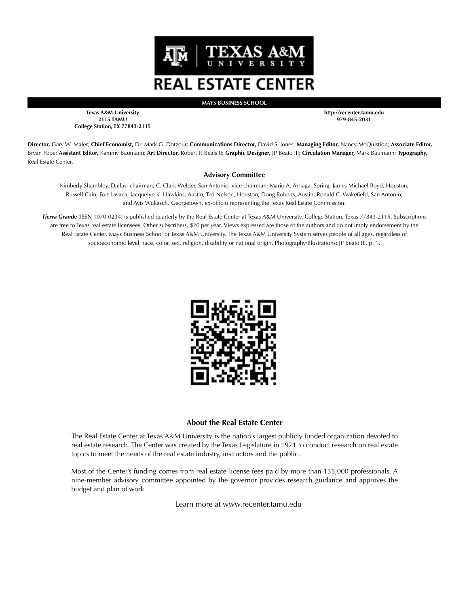

**MAYS BUSINESS SCHOOL**

**Texas A&M University 2115 TAMU College Station, TX 77843-2115** **http://recenter.tamu.edu 979-845-2031**

**Director,** Gary W. Maler; **Chief Economist,** Dr. Mark G. Dotzour; **Communications Director,** David S. Jones; **Managing Editor,** Nancy McQuistion; **Associate Editor,**  Bryan Pope; **Assistant Editor,** Kammy Baumann; **Art Director,** Robert P. Beals II; **Graphic Designer,** JP Beato III; **Circulation Manager,** Mark Baumann; **Typography,** Real Estate Center.

#### **Advisory Committee**

Kimberly Shambley, Dallas, chairman; C. Clark Welder, San Antonio, vice chairman; Mario A. Arriaga, Spring; James Michael Boyd, Houston; Russell Cain, Fort Lavaca; Jacquelyn K. Hawkins, Austin; Ted Nelson, Houston; Doug Roberts, Austin; Ronald C. Wakefield, San Antonio; and Avis Wukasch, Georgetown, ex-officio representing the Texas Real Estate Commission.

*Tierra Grande* (ISSN 1070-0234) is published quarterly by the Real Estate Center at Texas A&M University, College Station, Texas 77843-2115. Subscriptions are free to Texas real estate licensees. Other subscribers, \$20 per year. Views expressed are those of the authors and do not imply endorsement by the Real Estate Center, Mays Business School or Texas A&M University. The Texas A&M University System serves people of all ages, regardless of socioeconomic level, race, color, sex, religion, disability or national origin. Photography/Illustrations: JP Beato III, p. 1.



## **About the Real Estate Center**

The Real Estate Center at Texas A&M University is the nation's largest publicly funded organization devoted to real estate research. The Center was created by the Texas Legislature in 1971 to conduct research on real estate topics to meet the needs of the real estate industry, instructors and the public.

Most of the Center's funding comes from real estate license fees paid by more than 135,000 professionals. A nine-member advisory committee appointed by the governor provides research guidance and approves the budget and plan of work.

Learn more at www.recenter.tamu.edu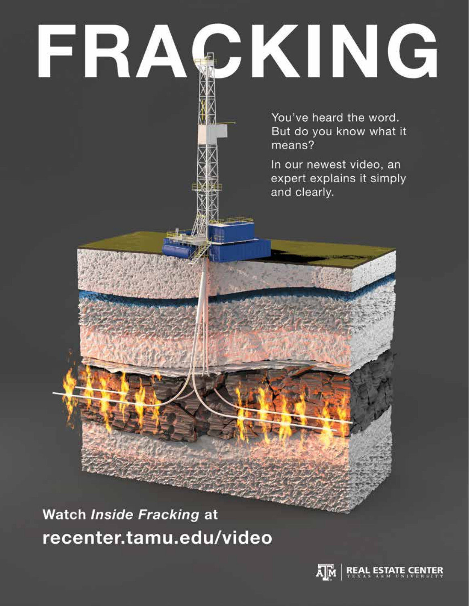# FRAÇKING

You've heard the word. But do you know what it means?

In our newest video, an expert explains it simply and clearly.

Watch Inside Fracking at recenter.tamu.edu/video